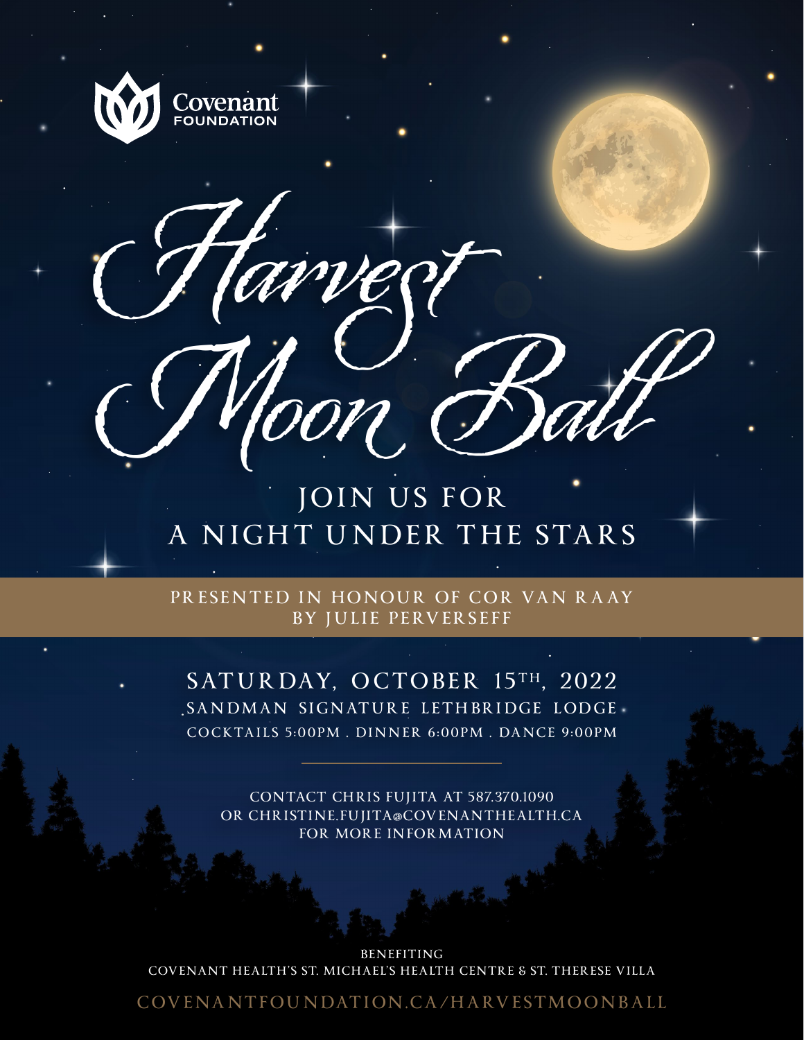

Harvest



Moon Ball

PRESENTED IN HONOUR OF COR VAN RAAY **BY JULIE PERVERSEFF**

SATURDAY, OCTOBER 15TH, 2022 **SANDMAN SIGNATURE LETHBRIDGE LODGE COCKTAILS 5:00PM . DINNER 6:00PM . DANCE 9:00PM**

**CONTACT CHRIS FUJITA AT 587.370.1090 OR CHRISTINE.FUJITA@COVENANTHEALTH.CA FOR MORE INFORMATION**

**BENEFITING COVENANT HEALTH'S ST. MICHAEL'S HEALTH CENTRE & ST. THERESE VILLA**

**COVENANTFOUNDATION.CA/ HARVESTMOONBALL**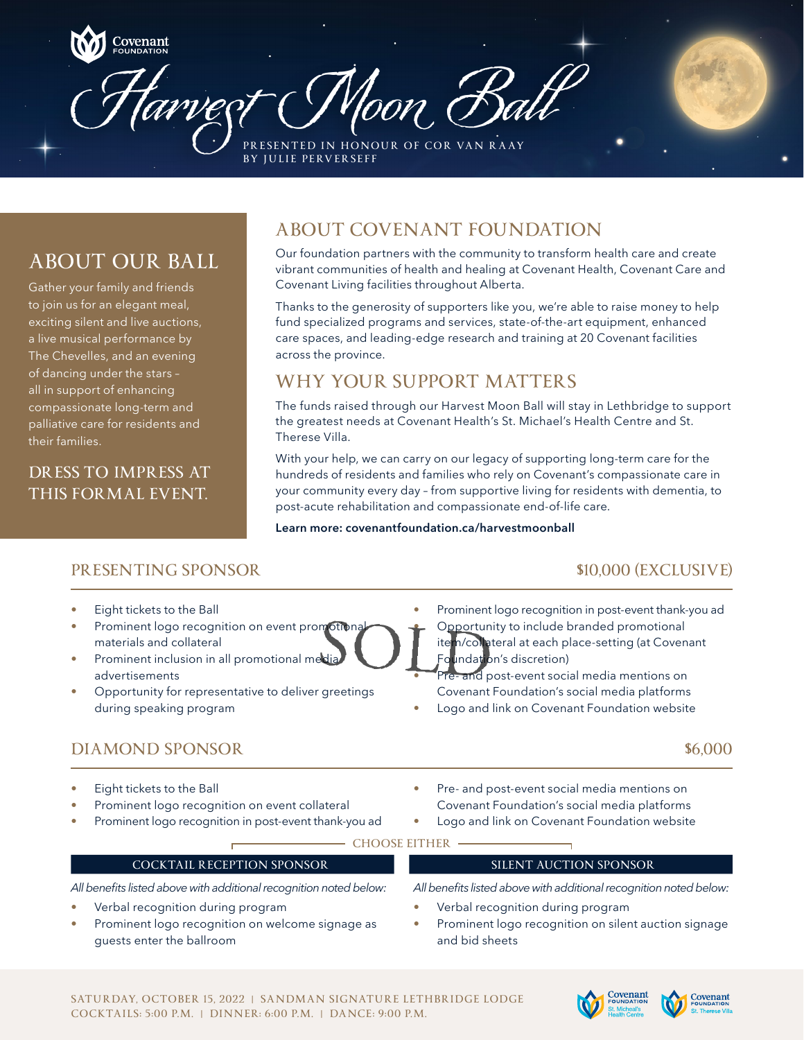

# **ABOUT OUR BALL**

Gather your family and friends to join us for an elegant meal, exciting silent and live auctions, a live musical performance by The Chevelles, and an evening of dancing under the stars – all in support of enhancing compassionate long-term and palliative care for residents and their families.

## **DRESS TO IMPRESS AT THIS FORMAL EVENT.**

# **ABOUT COVENANT FOUNDATION**

Our foundation partners with the community to transform health care and create vibrant communities of health and healing at Covenant Health, Covenant Care and Covenant Living facilities throughout Alberta.

Thanks to the generosity of supporters like you, we're able to raise money to help fund specialized programs and services, state-of-the-art equipment, enhanced care spaces, and leading-edge research and training at 20 Covenant facilities across the province.

# **WHY YOUR SUPPORT MATTERS**

The funds raised through our Harvest Moon Ball will stay in Lethbridge to support the greatest needs at Covenant Health's St. Michael's Health Centre and St. Therese Villa.

With your help, we can carry on our legacy of supporting long-term care for the hundreds of residents and families who rely on Covenant's compassionate care in your community every day – from supportive living for residents with dementia, to post-acute rehabilitation and compassionate end-of-life care.

### **Learn more: covenantfoundation.ca/harvestmoonball**

## **PRESENTING SPONSOR \$10,000 (EXCLUSIVE)**

- Eight tickets to the Ball
- Prominent logo recognition on event promotional materials and collateral
- Prominent inclusion in all promotional media advertisements
- Opportunity for representative to deliver greetings during speaking program
	-
- 
- Eight tickets to the Ball
- Prominent logo recognition on event collateral
- Prominent logo recognition in post-event thank-you ad

• Prominent logo recognition in post-event thank-you ad • Opportunity to include branded promotional item/collateral at each place-setting (at Covenant undation's discretion)

and post-event social media mentions on Covenant Foundation's social media platforms

• Logo and link on Covenant Foundation website

### **DIAMOND SPONSOR \$6,000**

- Pre- and post-event social media mentions on Covenant Foundation's social media platforms
- Logo and link on Covenant Foundation website

#### **CHOOSE EITHER**

### **COCKTAIL RECEPTION SPONSOR SILENT AUCTION SPONSOR**

*All benefits listed above with additional recognition noted below:* 

- Verbal recognition during program
- Prominent logo recognition on welcome signage as guests enter the ballroom

*All benefits listed above with additional recognition noted below:* 

- Verbal recognition during program
- Prominent logo recognition on silent auction signage and bid sheets



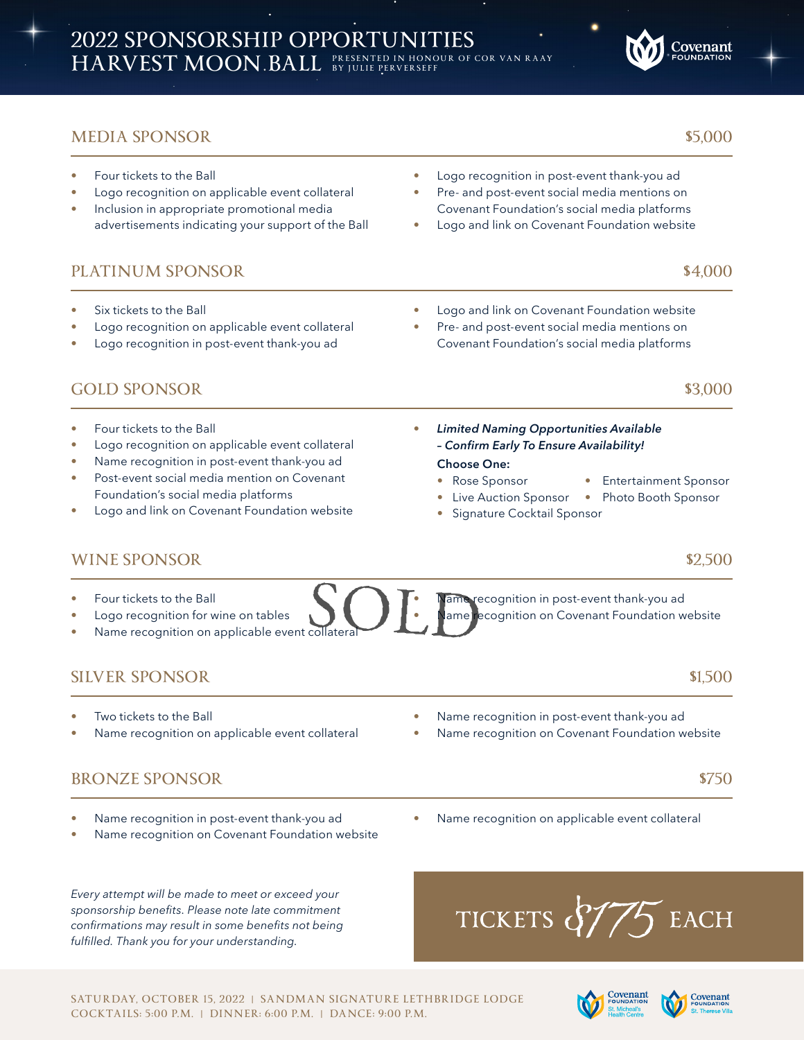## **MEDIA SPONSOR \$5,000**

- Four tickets to the Ball
- Logo recognition on applicable event collateral
- Inclusion in appropriate promotional media advertisements indicating your support of the Ball

## **PLATINUM SPONSOR 54,000**

- Six tickets to the Ball
- Logo recognition on applicable event collateral
- Logo recognition in post-event thank-you ad

## **GOLD SPONSOR \$3,000**

- Four tickets to the Ball
- Logo recognition on applicable event collateral
- Name recognition in post-event thank-you ad
- Post-event social media mention on Covenant Foundation's social media platforms
- Logo and link on Covenant Foundation website
- Logo recognition in post-event thank-you ad
- Pre- and post-event social media mentions on Covenant Foundation's social media platforms
- Logo and link on Covenant Foundation website
- Logo and link on Covenant Foundation website
- Pre- and post-event social media mentions on Covenant Foundation's social media platforms
	- *Limited Naming Opportunities Available – Confirm Early To Ensure Availability!*

#### **Choose One:**

- Rose Sponsor Entertainment Sponsor
- Live Auction Sponsor Photo Booth Sponsor
- Signature Cocktail Sponsor

## **WINE SPONSOR 52,500**

- Four tickets to the Ball
- Logo recognition for wine on tables
- Name recognition on applicable event collatera

## **SILVER SPONSOR \$1,500** \$1,500

- Two tickets to the Ball
- Name recognition on applicable event collateral
- Name recognition in post-event thank-you ad

**Vame recognition in post-event thank-you ad** 

ame recognition on Covenant Foundation website

Name recognition on Covenant Foundation website

Name recognition on applicable event collateral

## **BRONZE SPONSOR** \$750

- Name recognition in post-event thank-you ad
- Name recognition on Covenant Foundation website

*Every attempt will be made to meet or exceed your sponsorship benefits. Please note late commitment confirmations may result in some benefits not being fulfilled. Thank you for your understanding.*









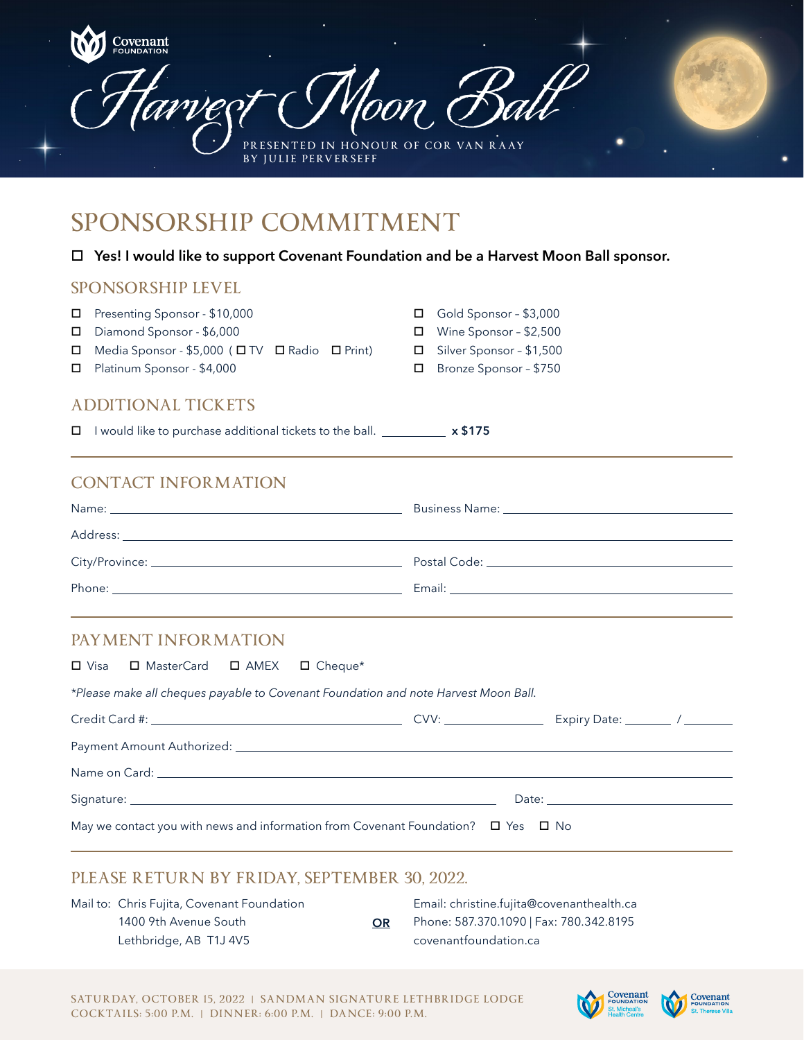| BY JULIE PERVERSEFF                                                                                                                                                                                                            | Woon Ball<br>PRESENTED IN HONOUR OF COR VAN RAAY                                                                                                                                                                               |  |  |  |
|--------------------------------------------------------------------------------------------------------------------------------------------------------------------------------------------------------------------------------|--------------------------------------------------------------------------------------------------------------------------------------------------------------------------------------------------------------------------------|--|--|--|
| SPONSORSHIP COMMITMENT                                                                                                                                                                                                         |                                                                                                                                                                                                                                |  |  |  |
| ◻                                                                                                                                                                                                                              | Yes! I would like to support Covenant Foundation and be a Harvest Moon Ball sponsor.                                                                                                                                           |  |  |  |
| <b>SPONSORSHIP LEVEL</b>                                                                                                                                                                                                       |                                                                                                                                                                                                                                |  |  |  |
| Presenting Sponsor - \$10,000<br>□<br>Diamond Sponsor - \$6,000<br>□<br>Media Sponsor - \$5,000 (□ TV □ Radio □ Print)<br>□<br>Platinum Sponsor - \$4,000<br>$\Box$                                                            | Gold Sponsor - \$3,000<br>□ Wine Sponsor - \$2,500<br>□ Silver Sponsor - \$1,500<br>Bronze Sponsor - \$750<br>$\Box$                                                                                                           |  |  |  |
| <b>ADDITIONAL TICKETS</b>                                                                                                                                                                                                      |                                                                                                                                                                                                                                |  |  |  |
| I would like to purchase additional tickets to the ball. ____________ x \$175<br>□                                                                                                                                             |                                                                                                                                                                                                                                |  |  |  |
|                                                                                                                                                                                                                                |                                                                                                                                                                                                                                |  |  |  |
| <b>CONTACT INFORMATION</b>                                                                                                                                                                                                     |                                                                                                                                                                                                                                |  |  |  |
| Address: Note that the state of the state of the state of the state of the state of the state of the state of the state of the state of the state of the state of the state of the state of the state of the state of the stat |                                                                                                                                                                                                                                |  |  |  |
|                                                                                                                                                                                                                                |                                                                                                                                                                                                                                |  |  |  |
|                                                                                                                                                                                                                                |                                                                                                                                                                                                                                |  |  |  |
|                                                                                                                                                                                                                                |                                                                                                                                                                                                                                |  |  |  |
| PAYMENT INFORMATION<br>□ MasterCard<br>$\square$ AMEX<br>$\Box$ Visa                                                                                                                                                           |                                                                                                                                                                                                                                |  |  |  |
| $\Box$ Cheque*                                                                                                                                                                                                                 |                                                                                                                                                                                                                                |  |  |  |
| *Please make all cheques payable to Covenant Foundation and note Harvest Moon Ball.                                                                                                                                            |                                                                                                                                                                                                                                |  |  |  |
|                                                                                                                                                                                                                                |                                                                                                                                                                                                                                |  |  |  |
|                                                                                                                                                                                                                                | Name on Card: University of the Card of the Card of the Card of the Card of the Card of the Card of the Card of the Card of the Card of the Card of the Card of the Card of the Card of the Card of the Card of the Card of th |  |  |  |
|                                                                                                                                                                                                                                |                                                                                                                                                                                                                                |  |  |  |

Mail to: Chris Fujita, Covenant Foundation 1400 9th Avenue South Lethbridge, AB T1J 4V5 Email: christine.fujita@covenanthealth.ca Phone: 587.370.1090 | Fax: 780.342.8195 covenantfoundation.ca **OR**